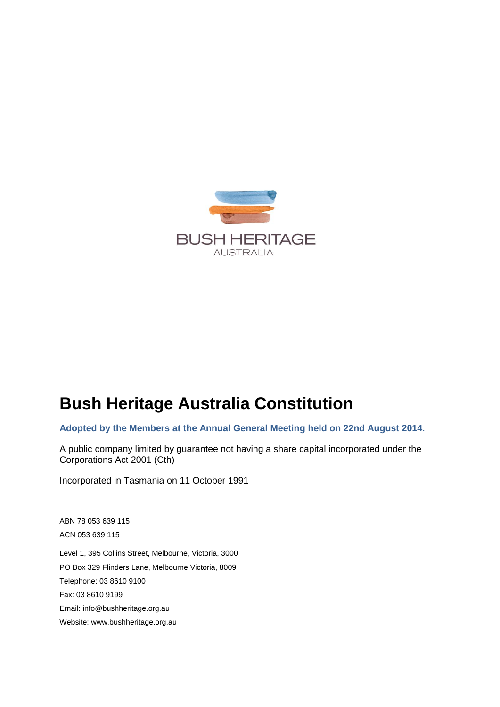

# **Bush Heritage Australia Constitution**

**Adopted by the Members at the Annual General Meeting held on 22nd August 2014.**

A public company limited by guarantee not having a share capital incorporated under the Corporations Act 2001 (Cth)

Incorporated in Tasmania on 11 October 1991

ABN 78 053 639 115 ACN 053 639 115

Level 1, 395 Collins Street, Melbourne, Victoria, 3000 PO Box 329 Flinders Lane, Melbourne Victoria, 8009 Telephone: 03 8610 9100 Fax: 03 8610 9199 Email: info@bushheritage.org.au Website: www.bushheritage.org.au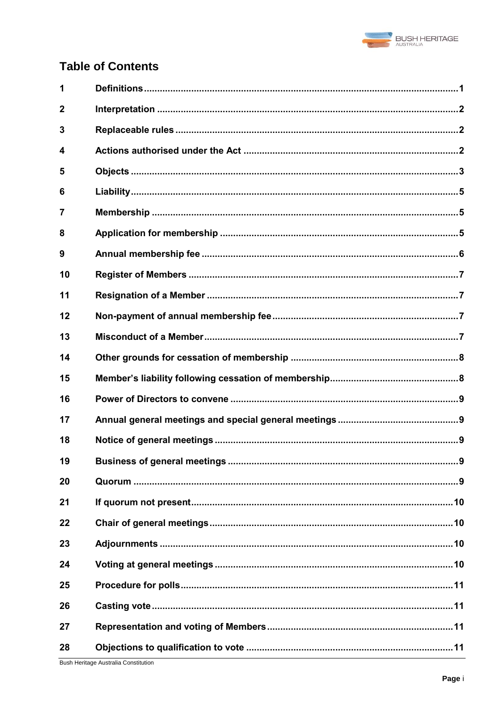

# **Table of Contents**

| 1              |  |
|----------------|--|
| $\overline{2}$ |  |
| 3              |  |
| 4              |  |
| 5              |  |
| 6              |  |
| $\overline{7}$ |  |
| 8              |  |
| 9              |  |
| 10             |  |
| 11             |  |
| 12             |  |
| 13             |  |
| 14             |  |
| 15             |  |
| 16             |  |
| 17             |  |
| 18             |  |
| 19             |  |
| 20             |  |
| 21             |  |
| 22             |  |
| 23             |  |
| 24             |  |
| 25             |  |
| 26             |  |
| 27             |  |
| 28             |  |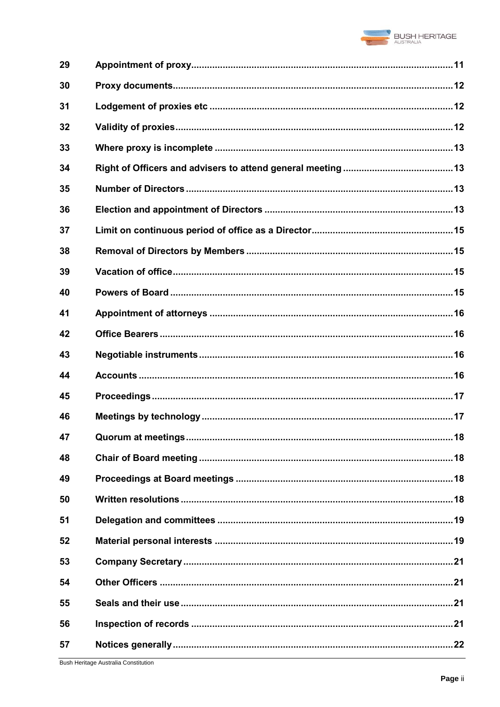

| 29 |  |
|----|--|
| 30 |  |
| 31 |  |
| 32 |  |
| 33 |  |
| 34 |  |
| 35 |  |
| 36 |  |
| 37 |  |
| 38 |  |
| 39 |  |
| 40 |  |
| 41 |  |
| 42 |  |
| 43 |  |
| 44 |  |
| 45 |  |
| 46 |  |
| 47 |  |
| 48 |  |
| 49 |  |
| 50 |  |
| 51 |  |
| 52 |  |
| 53 |  |
| 54 |  |
| 55 |  |
| 56 |  |
| 57 |  |
|    |  |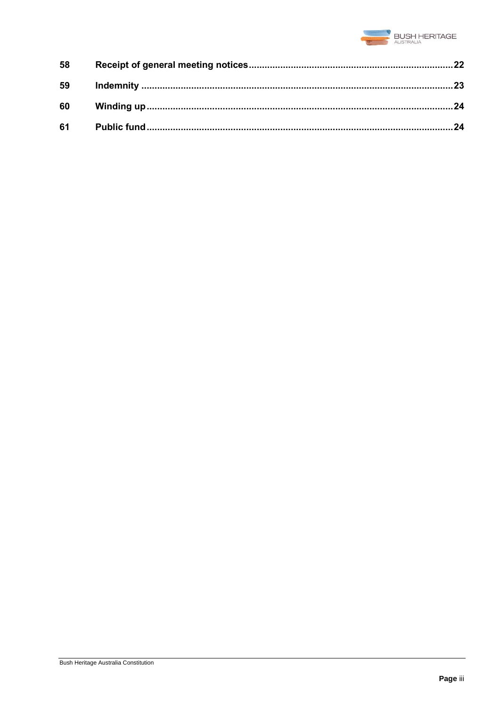

| 58 |  |
|----|--|
| 59 |  |
| 60 |  |
| 61 |  |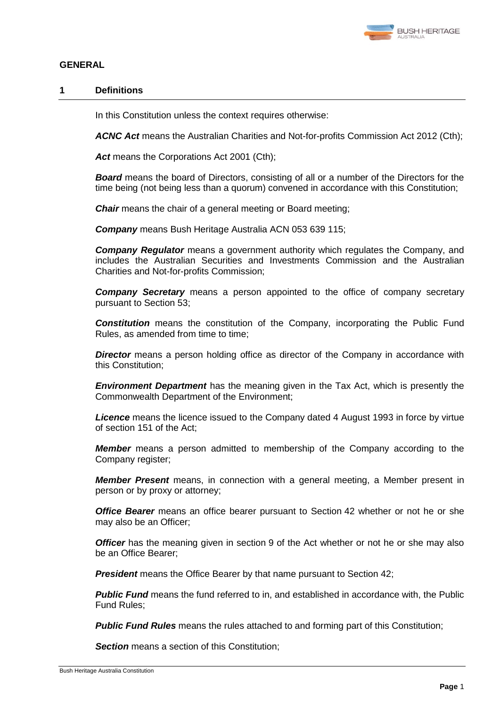

# **GENERAL**

# **1 Definitions**

In this Constitution unless the context requires otherwise:

*ACNC Act* means the Australian Charities and Not-for-profits Commission Act 2012 (Cth);

*Act* means the Corporations Act 2001 (Cth);

*Board* means the board of Directors, consisting of all or a number of the Directors for the time being (not being less than a quorum) convened in accordance with this Constitution;

*Chair* means the chair of a general meeting or Board meeting;

*Company* means Bush Heritage Australia ACN 053 639 115;

*Company Regulator* means a government authority which regulates the Company, and includes the Australian Securities and Investments Commission and the Australian Charities and Not-for-profits Commission;

*Company Secretary* means a person appointed to the office of company secretary pursuant to Section [53;](#page-24-0)

*Constitution* means the constitution of the Company, incorporating the Public Fund Rules, as amended from time to time;

**Director** means a person holding office as director of the Company in accordance with this Constitution;

*Environment Department* has the meaning given in the Tax Act, which is presently the Commonwealth Department of the Environment;

*Licence* means the licence issued to the Company dated 4 August 1993 in force by virtue of section 151 of the Act;

*Member* means a person admitted to membership of the Company according to the Company register;

*Member Present* means, in connection with a general meeting, a Member present in person or by proxy or attorney;

*Office Bearer* means an office bearer pursuant to Section [42](#page-19-0) whether or not he or she may also be an Officer;

**Officer** has the meaning given in section 9 of the Act whether or not he or she may also be an Office Bearer;

*President* means the Office Bearer by that name pursuant to Section [42;](#page-19-0)

**Public Fund** means the fund referred to in, and established in accordance with, the Public Fund Rules;

**Public Fund Rules** means the rules attached to and forming part of this Constitution;

**Section** means a section of this Constitution;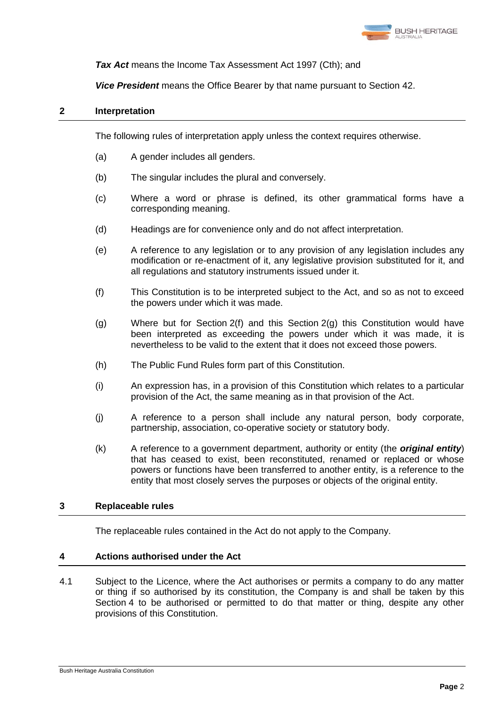

*Tax Act* means the Income Tax Assessment Act 1997 (Cth); and

*Vice President* means the Office Bearer by that name pursuant to Section [42.](#page-19-0)

# **2 Interpretation**

The following rules of interpretation apply unless the context requires otherwise.

- (a) A gender includes all genders.
- (b) The singular includes the plural and conversely.
- (c) Where a word or phrase is defined, its other grammatical forms have a corresponding meaning.
- (d) Headings are for convenience only and do not affect interpretation.
- (e) A reference to any legislation or to any provision of any legislation includes any modification or re-enactment of it, any legislative provision substituted for it, and all regulations and statutory instruments issued under it.
- <span id="page-5-0"></span>(f) This Constitution is to be interpreted subject to the Act, and so as not to exceed the powers under which it was made.
- <span id="page-5-1"></span>(g) Where but for Section [2\(f\)](#page-5-0) and this Section [2\(g\)](#page-5-1) this Constitution would have been interpreted as exceeding the powers under which it was made, it is nevertheless to be valid to the extent that it does not exceed those powers.
- (h) The Public Fund Rules form part of this Constitution.
- (i) An expression has, in a provision of this Constitution which relates to a particular provision of the Act, the same meaning as in that provision of the Act.
- (j) A reference to a person shall include any natural person, body corporate, partnership, association, co-operative society or statutory body.
- (k) A reference to a government department, authority or entity (the *original entity*) that has ceased to exist, been reconstituted, renamed or replaced or whose powers or functions have been transferred to another entity, is a reference to the entity that most closely serves the purposes or objects of the original entity.

# **3 Replaceable rules**

The replaceable rules contained in the Act do not apply to the Company.

# <span id="page-5-2"></span>**4 Actions authorised under the Act**

<span id="page-5-3"></span>4.1 Subject to the Licence, where the Act authorises or permits a company to do any matter or thing if so authorised by its constitution, the Company is and shall be taken by this Section [4](#page-5-2) to be authorised or permitted to do that matter or thing, despite any other provisions of this Constitution.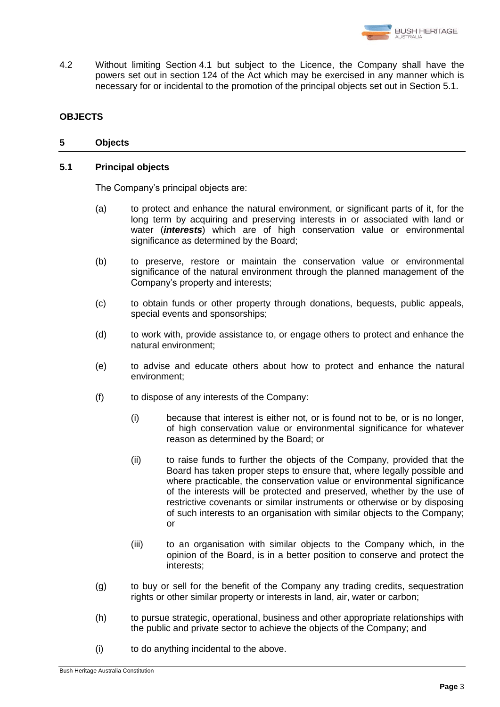

4.2 Without limiting Section [4.1](#page-5-3) but subject to the Licence, the Company shall have the powers set out in section 124 of the Act which may be exercised in any manner which is necessary for or incidental to the promotion of the principal objects set out in Section [5.1.](#page-6-0)

# <span id="page-6-1"></span>**OBJECTS**

# **5 Objects**

# <span id="page-6-0"></span>**5.1 Principal objects**

The Company's principal objects are:

- (a) to protect and enhance the natural environment, or significant parts of it, for the long term by acquiring and preserving interests in or associated with land or water (*interests*) which are of high conservation value or environmental significance as determined by the Board;
- (b) to preserve, restore or maintain the conservation value or environmental significance of the natural environment through the planned management of the Company's property and interests;
- (c) to obtain funds or other property through donations, bequests, public appeals, special events and sponsorships;
- (d) to work with, provide assistance to, or engage others to protect and enhance the natural environment;
- (e) to advise and educate others about how to protect and enhance the natural environment;
- (f) to dispose of any interests of the Company:
	- (i) because that interest is either not, or is found not to be, or is no longer, of high conservation value or environmental significance for whatever reason as determined by the Board; or
	- (ii) to raise funds to further the objects of the Company, provided that the Board has taken proper steps to ensure that, where legally possible and where practicable, the conservation value or environmental significance of the interests will be protected and preserved, whether by the use of restrictive covenants or similar instruments or otherwise or by disposing of such interests to an organisation with similar objects to the Company; or
	- (iii) to an organisation with similar objects to the Company which, in the opinion of the Board, is in a better position to conserve and protect the interests;
- (g) to buy or sell for the benefit of the Company any trading credits, sequestration rights or other similar property or interests in land, air, water or carbon;
- (h) to pursue strategic, operational, business and other appropriate relationships with the public and private sector to achieve the objects of the Company; and
- (i) to do anything incidental to the above.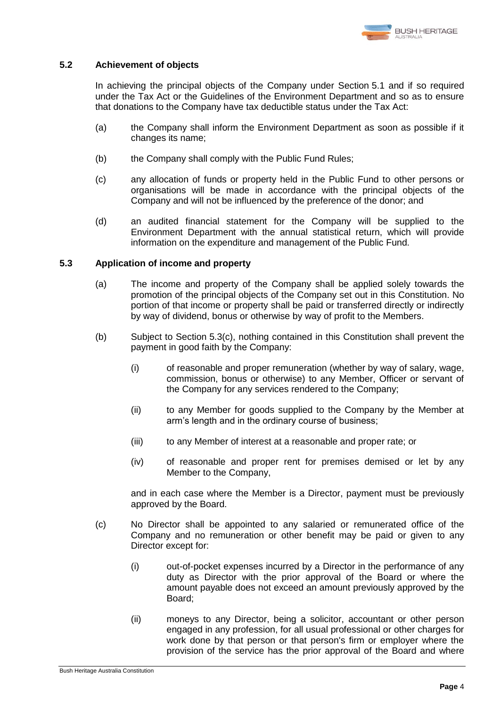

# <span id="page-7-1"></span>**5.2 Achievement of objects**

In achieving the principal objects of the Company under Section [5.1](#page-6-0) and if so required under the Tax Act or the Guidelines of the Environment Department and so as to ensure that donations to the Company have tax deductible status under the Tax Act:

- (a) the Company shall inform the Environment Department as soon as possible if it changes its name;
- (b) the Company shall comply with the Public Fund Rules;
- (c) any allocation of funds or property held in the Public Fund to other persons or organisations will be made in accordance with the principal objects of the Company and will not be influenced by the preference of the donor; and
- (d) an audited financial statement for the Company will be supplied to the Environment Department with the annual statistical return, which will provide information on the expenditure and management of the Public Fund.

# <span id="page-7-2"></span>**5.3 Application of income and property**

- (a) The income and property of the Company shall be applied solely towards the promotion of the principal objects of the Company set out in this Constitution. No portion of that income or property shall be paid or transferred directly or indirectly by way of dividend, bonus or otherwise by way of profit to the Members.
- (b) Subject to Section [5.3\(c\),](#page-7-0) nothing contained in this Constitution shall prevent the payment in good faith by the Company:
	- (i) of reasonable and proper remuneration (whether by way of salary, wage, commission, bonus or otherwise) to any Member, Officer or servant of the Company for any services rendered to the Company;
	- (ii) to any Member for goods supplied to the Company by the Member at arm's length and in the ordinary course of business;
	- (iii) to any Member of interest at a reasonable and proper rate; or
	- (iv) of reasonable and proper rent for premises demised or let by any Member to the Company,

and in each case where the Member is a Director, payment must be previously approved by the Board.

- <span id="page-7-0"></span>(c) No Director shall be appointed to any salaried or remunerated office of the Company and no remuneration or other benefit may be paid or given to any Director except for:
	- (i) out-of-pocket expenses incurred by a Director in the performance of any duty as Director with the prior approval of the Board or where the amount payable does not exceed an amount previously approved by the Board;
	- (ii) moneys to any Director, being a solicitor, accountant or other person engaged in any profession, for all usual professional or other charges for work done by that person or that person's firm or employer where the provision of the service has the prior approval of the Board and where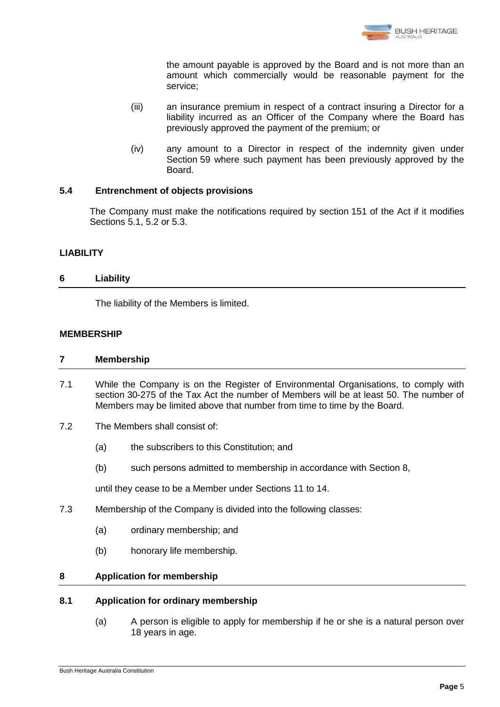

the amount payable is approved by the Board and is not more than an amount which commercially would be reasonable payment for the service;

- (iii) an insurance premium in respect of a contract insuring a Director for a liability incurred as an Officer of the Company where the Board has previously approved the payment of the premium; or
- (iv) any amount to a Director in respect of the indemnity given under Section [59](#page-26-0) where such payment has been previously approved by the Board.

# **5.4 Entrenchment of objects provisions**

The Company must make the notifications required by section 151 of the Act if it modifies Sections [5.1,](#page-6-0) [5.2](#page-7-1) or [5.3.](#page-7-2)

# **LIABILITY**

# **6 Liability**

The liability of the Members is limited.

# **MEMBERSHIP**

# **7 Membership**

- 7.1 While the Company is on the Register of Environmental Organisations, to comply with section 30-275 of the Tax Act the number of Members will be at least 50. The number of Members may be limited above that number from time to time by the Board.
- 7.2 The Members shall consist of:
	- (a) the subscribers to this Constitution; and
	- (b) such persons admitted to membership in accordance with Section [8,](#page-8-0)

until they cease to be a Member under Sections [11](#page-10-0) to [14.](#page-11-0)

- 7.3 Membership of the Company is divided into the following classes:
	- (a) ordinary membership; and
	- (b) honorary life membership.

# <span id="page-8-0"></span>**8 Application for membership**

# **8.1 Application for ordinary membership**

(a) A person is eligible to apply for membership if he or she is a natural person over 18 years in age.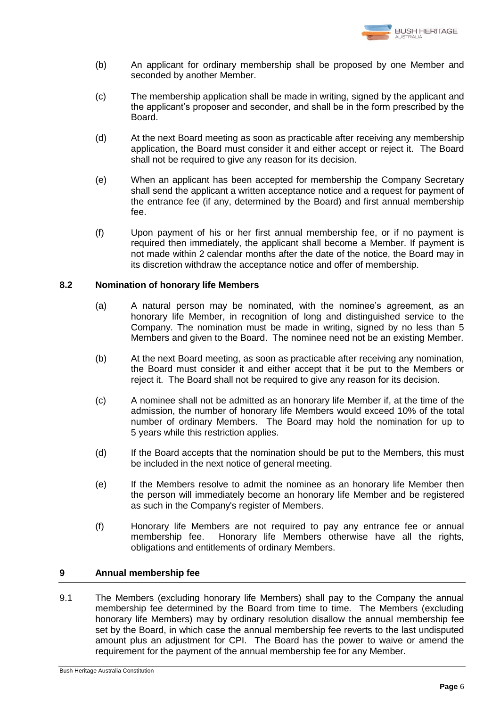

- (b) An applicant for ordinary membership shall be proposed by one Member and seconded by another Member.
- (c) The membership application shall be made in writing, signed by the applicant and the applicant's proposer and seconder, and shall be in the form prescribed by the Board.
- (d) At the next Board meeting as soon as practicable after receiving any membership application, the Board must consider it and either accept or reject it. The Board shall not be required to give any reason for its decision.
- (e) When an applicant has been accepted for membership the Company Secretary shall send the applicant a written acceptance notice and a request for payment of the entrance fee (if any, determined by the Board) and first annual membership fee.
- (f) Upon payment of his or her first annual membership fee, or if no payment is required then immediately, the applicant shall become a Member. If payment is not made within 2 calendar months after the date of the notice, the Board may in its discretion withdraw the acceptance notice and offer of membership.

# **8.2 Nomination of honorary life Members**

- (a) A natural person may be nominated, with the nominee's agreement, as an honorary life Member, in recognition of long and distinguished service to the Company. The nomination must be made in writing, signed by no less than 5 Members and given to the Board. The nominee need not be an existing Member.
- (b) At the next Board meeting, as soon as practicable after receiving any nomination, the Board must consider it and either accept that it be put to the Members or reject it. The Board shall not be required to give any reason for its decision.
- (c) A nominee shall not be admitted as an honorary life Member if, at the time of the admission, the number of honorary life Members would exceed 10% of the total number of ordinary Members. The Board may hold the nomination for up to 5 years while this restriction applies.
- (d) If the Board accepts that the nomination should be put to the Members, this must be included in the next notice of general meeting.
- (e) If the Members resolve to admit the nominee as an honorary life Member then the person will immediately become an honorary life Member and be registered as such in the Company's register of Members.
- (f) Honorary life Members are not required to pay any entrance fee or annual membership fee. Honorary life Members otherwise have all the rights, obligations and entitlements of ordinary Members.

# **9 Annual membership fee**

9.1 The Members (excluding honorary life Members) shall pay to the Company the annual membership fee determined by the Board from time to time. The Members (excluding honorary life Members) may by ordinary resolution disallow the annual membership fee set by the Board, in which case the annual membership fee reverts to the last undisputed amount plus an adjustment for CPI. The Board has the power to waive or amend the requirement for the payment of the annual membership fee for any Member.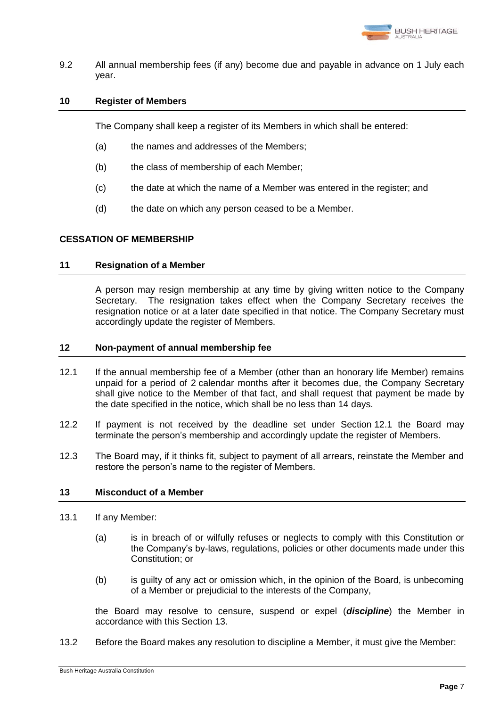

9.2 All annual membership fees (if any) become due and payable in advance on 1 July each year.

# **10 Register of Members**

The Company shall keep a register of its Members in which shall be entered:

- (a) the names and addresses of the Members;
- (b) the class of membership of each Member;
- (c) the date at which the name of a Member was entered in the register; and
- (d) the date on which any person ceased to be a Member.

# <span id="page-10-0"></span>**CESSATION OF MEMBERSHIP**

#### **11 Resignation of a Member**

A person may resign membership at any time by giving written notice to the Company Secretary. The resignation takes effect when the Company Secretary receives the resignation notice or at a later date specified in that notice. The Company Secretary must accordingly update the register of Members.

#### **12 Non-payment of annual membership fee**

- <span id="page-10-1"></span>12.1 If the annual membership fee of a Member (other than an honorary life Member) remains unpaid for a period of 2 calendar months after it becomes due, the Company Secretary shall give notice to the Member of that fact, and shall request that payment be made by the date specified in the notice, which shall be no less than 14 days.
- 12.2 If payment is not received by the deadline set under Section [12.1](#page-10-1) the Board may terminate the person's membership and accordingly update the register of Members.
- 12.3 The Board may, if it thinks fit, subject to payment of all arrears, reinstate the Member and restore the person's name to the register of Members.

# <span id="page-10-2"></span>**13 Misconduct of a Member**

- 13.1 If any Member:
	- (a) is in breach of or wilfully refuses or neglects to comply with this Constitution or the Company's by-laws, regulations, policies or other documents made under this Constitution; or
	- (b) is guilty of any act or omission which, in the opinion of the Board, is unbecoming of a Member or prejudicial to the interests of the Company,

the Board may resolve to censure, suspend or expel (*discipline*) the Member in accordance with this Section [13.](#page-10-2)

13.2 Before the Board makes any resolution to discipline a Member, it must give the Member: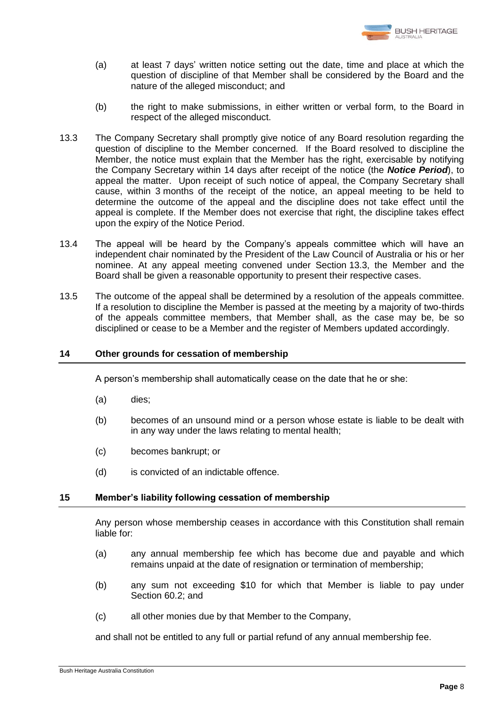

- (a) at least 7 days' written notice setting out the date, time and place at which the question of discipline of that Member shall be considered by the Board and the nature of the alleged misconduct; and
- (b) the right to make submissions, in either written or verbal form, to the Board in respect of the alleged misconduct.
- <span id="page-11-1"></span>13.3 The Company Secretary shall promptly give notice of any Board resolution regarding the question of discipline to the Member concerned. If the Board resolved to discipline the Member, the notice must explain that the Member has the right, exercisable by notifying the Company Secretary within 14 days after receipt of the notice (the *Notice Period*), to appeal the matter. Upon receipt of such notice of appeal, the Company Secretary shall cause, within 3 months of the receipt of the notice, an appeal meeting to be held to determine the outcome of the appeal and the discipline does not take effect until the appeal is complete. If the Member does not exercise that right, the discipline takes effect upon the expiry of the Notice Period.
- 13.4 The appeal will be heard by the Company's appeals committee which will have an independent chair nominated by the President of the Law Council of Australia or his or her nominee. At any appeal meeting convened under Section [13.3,](#page-11-1) the Member and the Board shall be given a reasonable opportunity to present their respective cases.
- 13.5 The outcome of the appeal shall be determined by a resolution of the appeals committee. If a resolution to discipline the Member is passed at the meeting by a majority of two-thirds of the appeals committee members, that Member shall, as the case may be, be so disciplined or cease to be a Member and the register of Members updated accordingly.

# <span id="page-11-0"></span>**14 Other grounds for cessation of membership**

A person's membership shall automatically cease on the date that he or she:

- (a) dies;
- (b) becomes of an unsound mind or a person whose estate is liable to be dealt with in any way under the laws relating to mental health;
- (c) becomes bankrupt; or
- (d) is convicted of an indictable offence.

# **15 Member's liability following cessation of membership**

Any person whose membership ceases in accordance with this Constitution shall remain liable for:

- (a) any annual membership fee which has become due and payable and which remains unpaid at the date of resignation or termination of membership;
- (b) any sum not exceeding \$10 for which that Member is liable to pay under Section [60.2;](#page-27-0) and
- (c) all other monies due by that Member to the Company,

and shall not be entitled to any full or partial refund of any annual membership fee.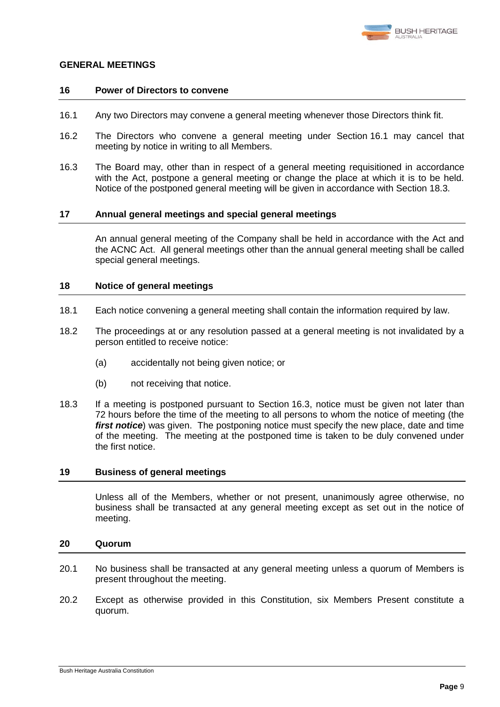

#### **GENERAL MEETINGS**

#### **16 Power of Directors to convene**

- <span id="page-12-0"></span>16.1 Any two Directors may convene a general meeting whenever those Directors think fit.
- 16.2 The Directors who convene a general meeting under Section [16.1](#page-12-0) may cancel that meeting by notice in writing to all Members.
- <span id="page-12-2"></span>16.3 The Board may, other than in respect of a general meeting requisitioned in accordance with the Act, postpone a general meeting or change the place at which it is to be held. Notice of the postponed general meeting will be given in accordance with Section [18.3.](#page-12-1)

#### **17 Annual general meetings and special general meetings**

An annual general meeting of the Company shall be held in accordance with the Act and the ACNC Act. All general meetings other than the annual general meeting shall be called special general meetings.

#### **18 Notice of general meetings**

- 18.1 Each notice convening a general meeting shall contain the information required by law.
- 18.2 The proceedings at or any resolution passed at a general meeting is not invalidated by a person entitled to receive notice:
	- (a) accidentally not being given notice; or
	- (b) not receiving that notice.
- <span id="page-12-1"></span>18.3 If a meeting is postponed pursuant to Section [16.3,](#page-12-2) notice must be given not later than 72 hours before the time of the meeting to all persons to whom the notice of meeting (the *first notice*) was given. The postponing notice must specify the new place, date and time of the meeting. The meeting at the postponed time is taken to be duly convened under the first notice.

# **19 Business of general meetings**

Unless all of the Members, whether or not present, unanimously agree otherwise, no business shall be transacted at any general meeting except as set out in the notice of meeting.

# **20 Quorum**

- 20.1 No business shall be transacted at any general meeting unless a quorum of Members is present throughout the meeting.
- 20.2 Except as otherwise provided in this Constitution, six Members Present constitute a quorum.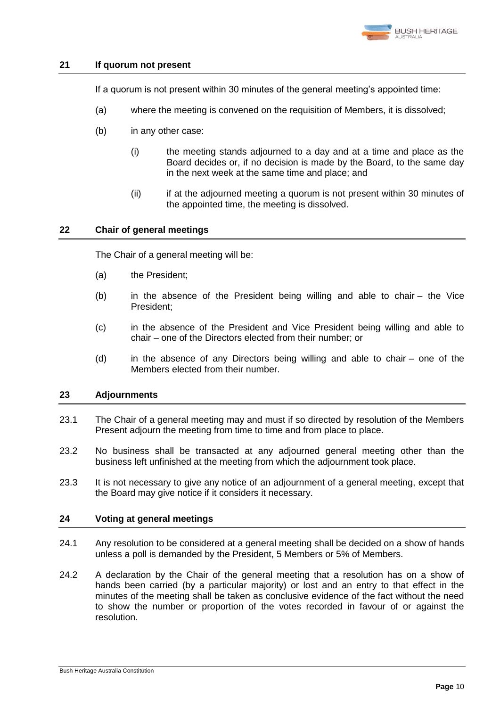

# **21 If quorum not present**

If a quorum is not present within 30 minutes of the general meeting's appointed time:

- (a) where the meeting is convened on the requisition of Members, it is dissolved;
- (b) in any other case:
	- (i) the meeting stands adjourned to a day and at a time and place as the Board decides or, if no decision is made by the Board, to the same day in the next week at the same time and place; and
	- (ii) if at the adjourned meeting a quorum is not present within 30 minutes of the appointed time, the meeting is dissolved.

# **22 Chair of general meetings**

The Chair of a general meeting will be:

- (a) the President;
- (b) in the absence of the President being willing and able to chair the Vice President;
- (c) in the absence of the President and Vice President being willing and able to chair – one of the Directors elected from their number; or
- (d) in the absence of any Directors being willing and able to chair one of the Members elected from their number.

# **23 Adjournments**

- 23.1 The Chair of a general meeting may and must if so directed by resolution of the Members Present adjourn the meeting from time to time and from place to place.
- 23.2 No business shall be transacted at any adjourned general meeting other than the business left unfinished at the meeting from which the adjournment took place.
- 23.3 It is not necessary to give any notice of an adjournment of a general meeting, except that the Board may give notice if it considers it necessary.

#### **24 Voting at general meetings**

- <span id="page-13-0"></span>24.1 Any resolution to be considered at a general meeting shall be decided on a show of hands unless a poll is demanded by the President, 5 Members or 5% of Members.
- 24.2 A declaration by the Chair of the general meeting that a resolution has on a show of hands been carried (by a particular majority) or lost and an entry to that effect in the minutes of the meeting shall be taken as conclusive evidence of the fact without the need to show the number or proportion of the votes recorded in favour of or against the resolution.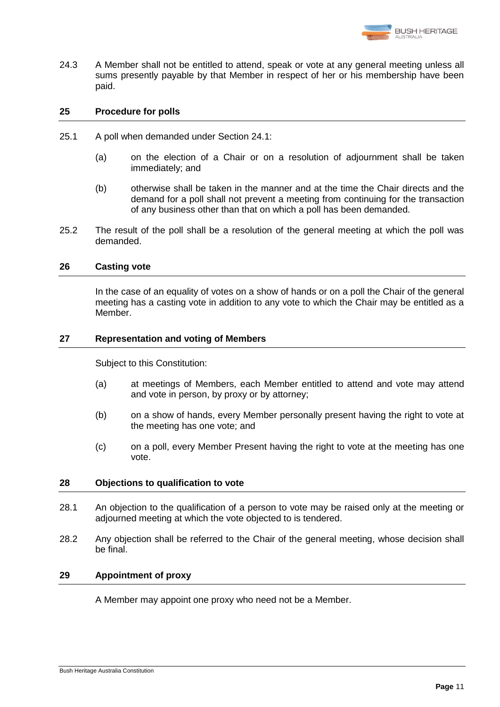

24.3 A Member shall not be entitled to attend, speak or vote at any general meeting unless all sums presently payable by that Member in respect of her or his membership have been paid.

# **25 Procedure for polls**

- 25.1 A poll when demanded under Section [24.1:](#page-13-0)
	- (a) on the election of a Chair or on a resolution of adjournment shall be taken immediately; and
	- (b) otherwise shall be taken in the manner and at the time the Chair directs and the demand for a poll shall not prevent a meeting from continuing for the transaction of any business other than that on which a poll has been demanded.
- 25.2 The result of the poll shall be a resolution of the general meeting at which the poll was demanded.

#### **26 Casting vote**

In the case of an equality of votes on a show of hands or on a poll the Chair of the general meeting has a casting vote in addition to any vote to which the Chair may be entitled as a Member.

#### **27 Representation and voting of Members**

Subject to this Constitution:

- (a) at meetings of Members, each Member entitled to attend and vote may attend and vote in person, by proxy or by attorney;
- (b) on a show of hands, every Member personally present having the right to vote at the meeting has one vote; and
- (c) on a poll, every Member Present having the right to vote at the meeting has one vote.

# **28 Objections to qualification to vote**

- 28.1 An objection to the qualification of a person to vote may be raised only at the meeting or adjourned meeting at which the vote objected to is tendered.
- 28.2 Any objection shall be referred to the Chair of the general meeting, whose decision shall be final.

# **29 Appointment of proxy**

A Member may appoint one proxy who need not be a Member.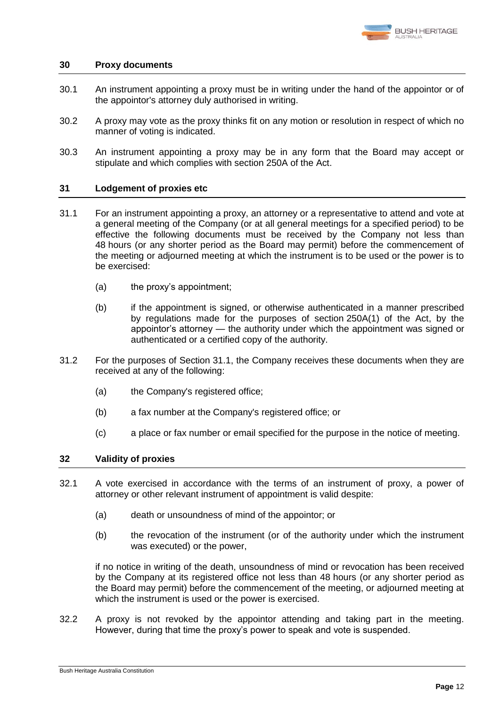

# **30 Proxy documents**

- 30.1 An instrument appointing a proxy must be in writing under the hand of the appointor or of the appointor's attorney duly authorised in writing.
- 30.2 A proxy may vote as the proxy thinks fit on any motion or resolution in respect of which no manner of voting is indicated.
- 30.3 An instrument appointing a proxy may be in any form that the Board may accept or stipulate and which complies with section 250A of the Act.

# **31 Lodgement of proxies etc**

- <span id="page-15-0"></span>31.1 For an instrument appointing a proxy, an attorney or a representative to attend and vote at a general meeting of the Company (or at all general meetings for a specified period) to be effective the following documents must be received by the Company not less than 48 hours (or any shorter period as the Board may permit) before the commencement of the meeting or adjourned meeting at which the instrument is to be used or the power is to be exercised:
	- (a) the proxy's appointment;
	- (b) if the appointment is signed, or otherwise authenticated in a manner prescribed by regulations made for the purposes of section 250A(1) of the Act, by the appointor's attorney — the authority under which the appointment was signed or authenticated or a certified copy of the authority.
- 31.2 For the purposes of Section [31.1,](#page-15-0) the Company receives these documents when they are received at any of the following:
	- (a) the Company's registered office;
	- (b) a fax number at the Company's registered office; or
	- (c) a place or fax number or email specified for the purpose in the notice of meeting.

# **32 Validity of proxies**

- 32.1 A vote exercised in accordance with the terms of an instrument of proxy, a power of attorney or other relevant instrument of appointment is valid despite:
	- (a) death or unsoundness of mind of the appointor; or
	- (b) the revocation of the instrument (or of the authority under which the instrument was executed) or the power,

if no notice in writing of the death, unsoundness of mind or revocation has been received by the Company at its registered office not less than 48 hours (or any shorter period as the Board may permit) before the commencement of the meeting, or adjourned meeting at which the instrument is used or the power is exercised.

32.2 A proxy is not revoked by the appointor attending and taking part in the meeting. However, during that time the proxy's power to speak and vote is suspended.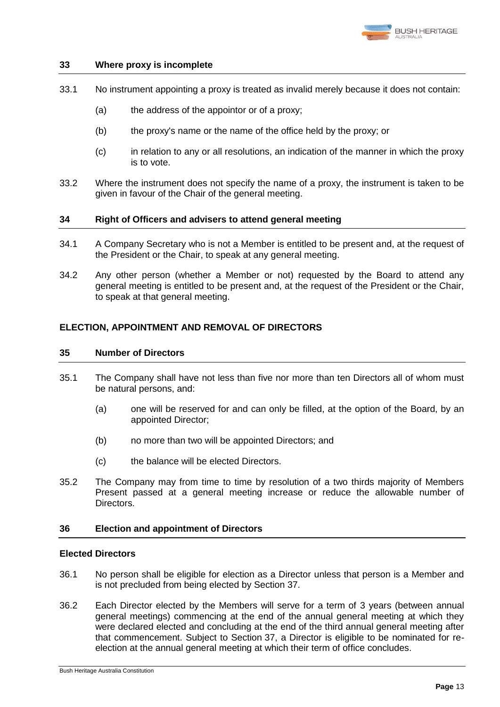

# **33 Where proxy is incomplete**

- 33.1 No instrument appointing a proxy is treated as invalid merely because it does not contain:
	- (a) the address of the appointor or of a proxy;
	- (b) the proxy's name or the name of the office held by the proxy; or
	- (c) in relation to any or all resolutions, an indication of the manner in which the proxy is to vote.
- 33.2 Where the instrument does not specify the name of a proxy, the instrument is taken to be given in favour of the Chair of the general meeting.

#### **34 Right of Officers and advisers to attend general meeting**

- 34.1 A Company Secretary who is not a Member is entitled to be present and, at the request of the President or the Chair, to speak at any general meeting.
- 34.2 Any other person (whether a Member or not) requested by the Board to attend any general meeting is entitled to be present and, at the request of the President or the Chair, to speak at that general meeting.

# <span id="page-16-0"></span>**ELECTION, APPOINTMENT AND REMOVAL OF DIRECTORS**

#### **35 Number of Directors**

- <span id="page-16-1"></span>35.1 The Company shall have not less than five nor more than ten Directors all of whom must be natural persons, and:
	- (a) one will be reserved for and can only be filled, at the option of the Board, by an appointed Director;
	- (b) no more than two will be appointed Directors; and
	- (c) the balance will be elected Directors.
- 35.2 The Company may from time to time by resolution of a two thirds majority of Members Present passed at a general meeting increase or reduce the allowable number of Directors.

# <span id="page-16-3"></span>**36 Election and appointment of Directors**

# **Elected Directors**

- <span id="page-16-4"></span>36.1 No person shall be eligible for election as a Director unless that person is a Member and is not precluded from being elected by Section [37.](#page-18-0)
- <span id="page-16-2"></span>36.2 Each Director elected by the Members will serve for a term of 3 years (between annual general meetings) commencing at the end of the annual general meeting at which they were declared elected and concluding at the end of the third annual general meeting after that commencement. Subject to Section [37,](#page-18-0) a Director is eligible to be nominated for reelection at the annual general meeting at which their term of office concludes.

Bush Heritage Australia Constitution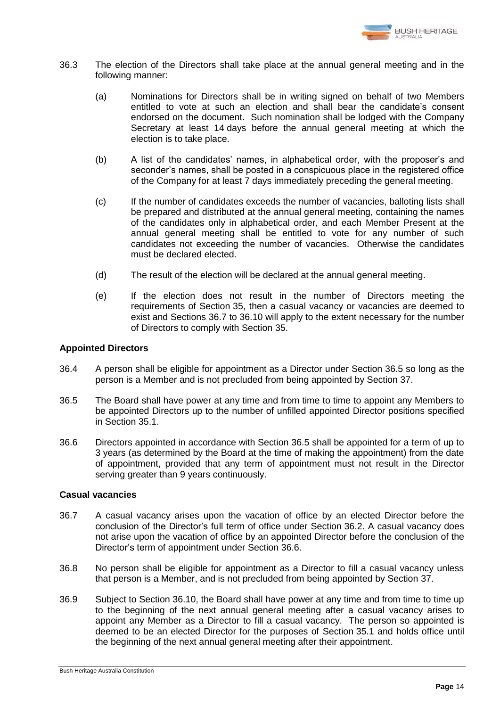

- <span id="page-17-4"></span>36.3 The election of the Directors shall take place at the annual general meeting and in the following manner:
	- (a) Nominations for Directors shall be in writing signed on behalf of two Members entitled to vote at such an election and shall bear the candidate's consent endorsed on the document. Such nomination shall be lodged with the Company Secretary at least 14 days before the annual general meeting at which the election is to take place.
	- (b) A list of the candidates' names, in alphabetical order, with the proposer's and seconder's names, shall be posted in a conspicuous place in the registered office of the Company for at least 7 days immediately preceding the general meeting.
	- (c) If the number of candidates exceeds the number of vacancies, balloting lists shall be prepared and distributed at the annual general meeting, containing the names of the candidates only in alphabetical order, and each Member Present at the annual general meeting shall be entitled to vote for any number of such candidates not exceeding the number of vacancies. Otherwise the candidates must be declared elected.
	- (d) The result of the election will be declared at the annual general meeting.
	- (e) If the election does not result in the number of Directors meeting the requirements of Section [35,](#page-16-0) then a casual vacancy or vacancies are deemed to exist and Sections [36.7](#page-17-0) to [36.10](#page-18-1) will apply to the extent necessary for the number of Directors to comply with Section [35.](#page-16-0)

# **Appointed Directors**

- 36.4 A person shall be eligible for appointment as a Director under Section [36.5](#page-17-1) so long as the person is a Member and is not precluded from being appointed by Section [37.](#page-18-0)
- <span id="page-17-1"></span>36.5 The Board shall have power at any time and from time to time to appoint any Members to be appointed Directors up to the number of unfilled appointed Director positions specified in Section [35.1.](#page-16-1)
- <span id="page-17-2"></span>36.6 Directors appointed in accordance with Section [36.5](#page-17-1) shall be appointed for a term of up to 3 years (as determined by the Board at the time of making the appointment) from the date of appointment, provided that any term of appointment must not result in the Director serving greater than 9 years continuously.

# **Casual vacancies**

- <span id="page-17-0"></span>36.7 A casual vacancy arises upon the vacation of office by an elected Director before the conclusion of the Director's full term of office under Section [36.2.](#page-16-2) A casual vacancy does not arise upon the vacation of office by an appointed Director before the conclusion of the Director's term of appointment under Section [36.6.](#page-17-2)
- 36.8 No person shall be eligible for appointment as a Director to fill a casual vacancy unless that person is a Member, and is not precluded from being appointed by Section [37.](#page-18-0)
- <span id="page-17-3"></span>36.9 Subject to Section [36.10,](#page-18-1) the Board shall have power at any time and from time to time up to the beginning of the next annual general meeting after a casual vacancy arises to appoint any Member as a Director to fill a casual vacancy. The person so appointed is deemed to be an elected Director for the purposes of Section [35.1](#page-16-1) and holds office until the beginning of the next annual general meeting after their appointment.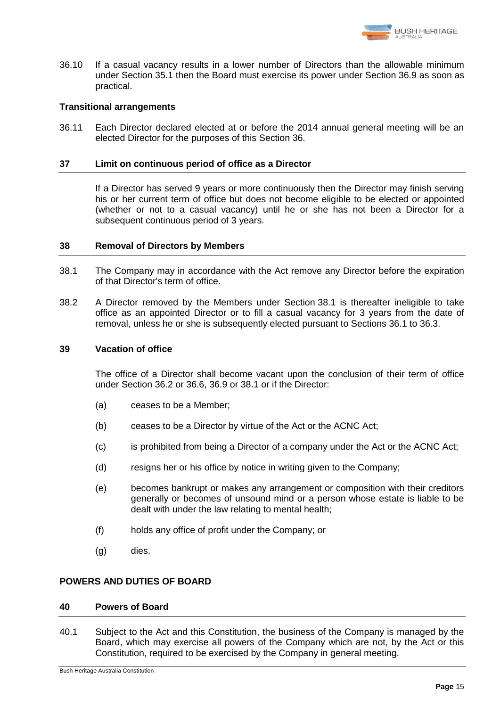

<span id="page-18-1"></span>36.10 If a casual vacancy results in a lower number of Directors than the allowable minimum under Section [35.1](#page-16-1) then the Board must exercise its power under Section [36.9](#page-17-3) as soon as practical.

# **Transitional arrangements**

36.11 Each Director declared elected at or before the 2014 annual general meeting will be an elected Director for the purposes of this Section [36.](#page-16-3)

#### <span id="page-18-0"></span>**37 Limit on continuous period of office as a Director**

If a Director has served 9 years or more continuously then the Director may finish serving his or her current term of office but does not become eligible to be elected or appointed (whether or not to a casual vacancy) until he or she has not been a Director for a subsequent continuous period of 3 years.

# **38 Removal of Directors by Members**

- <span id="page-18-2"></span>38.1 The Company may in accordance with the Act remove any Director before the expiration of that Director's term of office.
- 38.2 A Director removed by the Members under Section [38.1](#page-18-2) is thereafter ineligible to take office as an appointed Director or to fill a casual vacancy for 3 years from the date of removal, unless he or she is subsequently elected pursuant to Sections [36.1](#page-16-4) to [36.3.](#page-17-4)

#### **39 Vacation of office**

The office of a Director shall become vacant upon the conclusion of their term of office under Section [36.2](#page-16-2) or [36.6,](#page-17-2) [36.9](#page-17-3) or [38.1](#page-18-2) or if the Director:

- (a) ceases to be a Member;
- (b) ceases to be a Director by virtue of the Act or the ACNC Act;
- (c) is prohibited from being a Director of a company under the Act or the ACNC Act;
- (d) resigns her or his office by notice in writing given to the Company;
- (e) becomes bankrupt or makes any arrangement or composition with their creditors generally or becomes of unsound mind or a person whose estate is liable to be dealt with under the law relating to mental health;
- (f) holds any office of profit under the Company; or
- (g) dies.

# **POWERS AND DUTIES OF BOARD**

# **40 Powers of Board**

<span id="page-18-3"></span>40.1 Subject to the Act and this Constitution, the business of the Company is managed by the Board, which may exercise all powers of the Company which are not, by the Act or this Constitution, required to be exercised by the Company in general meeting.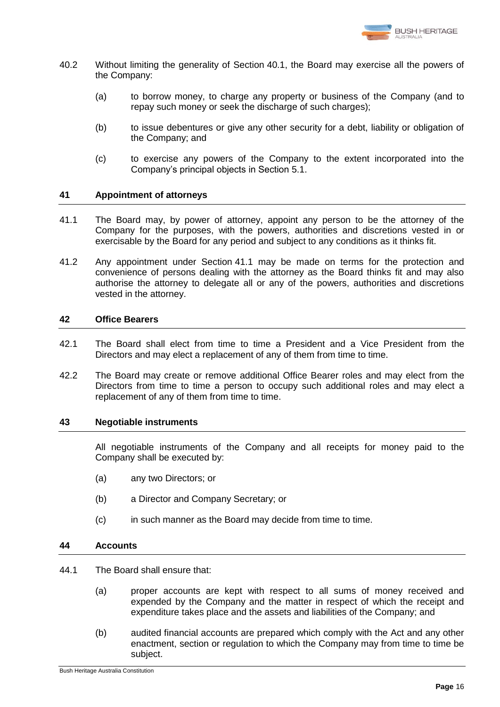

- 40.2 Without limiting the generality of Section [40.1,](#page-18-3) the Board may exercise all the powers of the Company:
	- (a) to borrow money, to charge any property or business of the Company (and to repay such money or seek the discharge of such charges);
	- (b) to issue debentures or give any other security for a debt, liability or obligation of the Company; and
	- (c) to exercise any powers of the Company to the extent incorporated into the Company's principal objects in Section [5.1.](#page-6-0)

# **41 Appointment of attorneys**

- <span id="page-19-1"></span>41.1 The Board may, by power of attorney, appoint any person to be the attorney of the Company for the purposes, with the powers, authorities and discretions vested in or exercisable by the Board for any period and subject to any conditions as it thinks fit.
- 41.2 Any appointment under Section [41.1](#page-19-1) may be made on terms for the protection and convenience of persons dealing with the attorney as the Board thinks fit and may also authorise the attorney to delegate all or any of the powers, authorities and discretions vested in the attorney.

# <span id="page-19-0"></span>**42 Office Bearers**

- 42.1 The Board shall elect from time to time a President and a Vice President from the Directors and may elect a replacement of any of them from time to time.
- 42.2 The Board may create or remove additional Office Bearer roles and may elect from the Directors from time to time a person to occupy such additional roles and may elect a replacement of any of them from time to time.

# **43 Negotiable instruments**

All negotiable instruments of the Company and all receipts for money paid to the Company shall be executed by:

- (a) any two Directors; or
- (b) a Director and Company Secretary; or
- (c) in such manner as the Board may decide from time to time.

# **44 Accounts**

- 44.1 The Board shall ensure that:
	- (a) proper accounts are kept with respect to all sums of money received and expended by the Company and the matter in respect of which the receipt and expenditure takes place and the assets and liabilities of the Company; and
	- (b) audited financial accounts are prepared which comply with the Act and any other enactment, section or regulation to which the Company may from time to time be subject.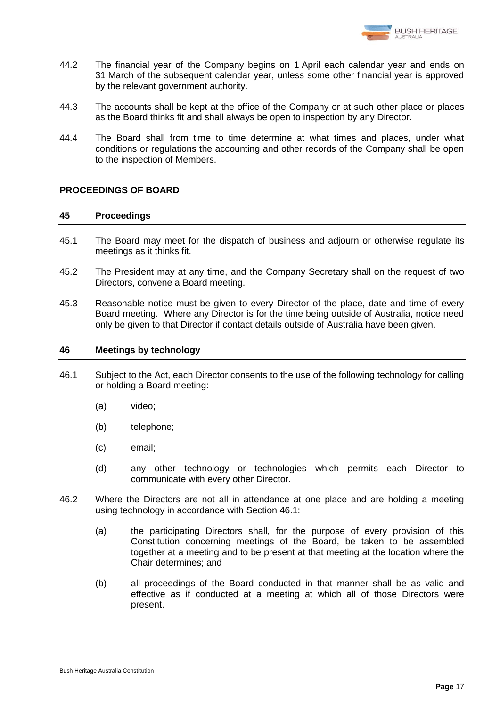

- 44.2 The financial year of the Company begins on 1 April each calendar year and ends on 31 March of the subsequent calendar year, unless some other financial year is approved by the relevant government authority.
- 44.3 The accounts shall be kept at the office of the Company or at such other place or places as the Board thinks fit and shall always be open to inspection by any Director.
- 44.4 The Board shall from time to time determine at what times and places, under what conditions or regulations the accounting and other records of the Company shall be open to the inspection of Members.

# <span id="page-20-1"></span>**PROCEEDINGS OF BOARD**

# **45 Proceedings**

- 45.1 The Board may meet for the dispatch of business and adjourn or otherwise regulate its meetings as it thinks fit.
- 45.2 The President may at any time, and the Company Secretary shall on the request of two Directors, convene a Board meeting.
- 45.3 Reasonable notice must be given to every Director of the place, date and time of every Board meeting. Where any Director is for the time being outside of Australia, notice need only be given to that Director if contact details outside of Australia have been given.

# <span id="page-20-2"></span>**46 Meetings by technology**

- <span id="page-20-0"></span>46.1 Subject to the Act, each Director consents to the use of the following technology for calling or holding a Board meeting:
	- (a) video;
	- (b) telephone;
	- (c) email;
	- (d) any other technology or technologies which permits each Director to communicate with every other Director.
- 46.2 Where the Directors are not all in attendance at one place and are holding a meeting using technology in accordance with Section [46.1:](#page-20-0)
	- (a) the participating Directors shall, for the purpose of every provision of this Constitution concerning meetings of the Board, be taken to be assembled together at a meeting and to be present at that meeting at the location where the Chair determines; and
	- (b) all proceedings of the Board conducted in that manner shall be as valid and effective as if conducted at a meeting at which all of those Directors were present.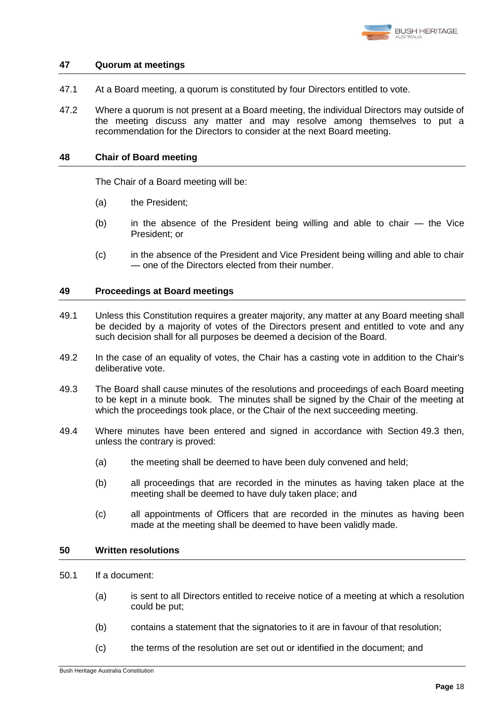

# <span id="page-21-2"></span>**47 Quorum at meetings**

- 47.1 At a Board meeting, a quorum is constituted by four Directors entitled to vote.
- 47.2 Where a quorum is not present at a Board meeting, the individual Directors may outside of the meeting discuss any matter and may resolve among themselves to put a recommendation for the Directors to consider at the next Board meeting.

# <span id="page-21-3"></span>**48 Chair of Board meeting**

The Chair of a Board meeting will be:

- (a) the President;
- (b) in the absence of the President being willing and able to chair the Vice President; or
- (c) in the absence of the President and Vice President being willing and able to chair — one of the Directors elected from their number.

#### <span id="page-21-4"></span>**49 Proceedings at Board meetings**

- 49.1 Unless this Constitution requires a greater majority, any matter at any Board meeting shall be decided by a majority of votes of the Directors present and entitled to vote and any such decision shall for all purposes be deemed a decision of the Board.
- 49.2 In the case of an equality of votes, the Chair has a casting vote in addition to the Chair's deliberative vote.
- <span id="page-21-0"></span>49.3 The Board shall cause minutes of the resolutions and proceedings of each Board meeting to be kept in a minute book. The minutes shall be signed by the Chair of the meeting at which the proceedings took place, or the Chair of the next succeeding meeting.
- 49.4 Where minutes have been entered and signed in accordance with Section [49.3](#page-21-0) then, unless the contrary is proved:
	- (a) the meeting shall be deemed to have been duly convened and held;
	- (b) all proceedings that are recorded in the minutes as having taken place at the meeting shall be deemed to have duly taken place; and
	- (c) all appointments of Officers that are recorded in the minutes as having been made at the meeting shall be deemed to have been validly made.

# <span id="page-21-5"></span>**50 Written resolutions**

- <span id="page-21-1"></span>50.1 If a document:
	- (a) is sent to all Directors entitled to receive notice of a meeting at which a resolution could be put;
	- (b) contains a statement that the signatories to it are in favour of that resolution;
	- (c) the terms of the resolution are set out or identified in the document; and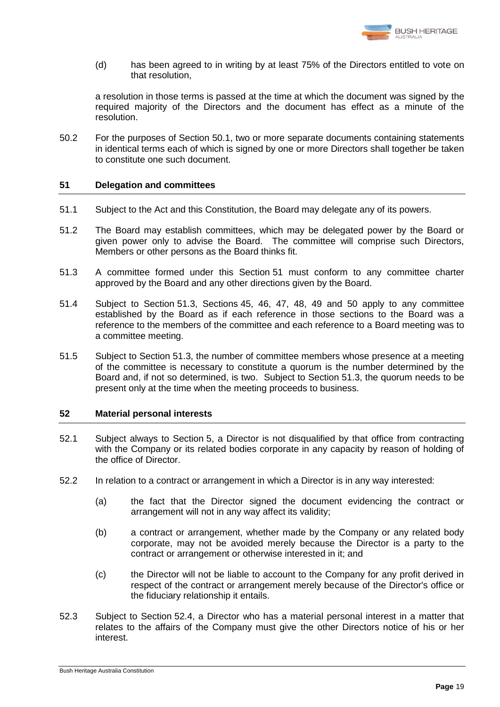

(d) has been agreed to in writing by at least 75% of the Directors entitled to vote on that resolution,

a resolution in those terms is passed at the time at which the document was signed by the required majority of the Directors and the document has effect as a minute of the resolution.

50.2 For the purposes of Section [50.1,](#page-21-1) two or more separate documents containing statements in identical terms each of which is signed by one or more Directors shall together be taken to constitute one such document.

# <span id="page-22-0"></span>**51 Delegation and committees**

- 51.1 Subject to the Act and this Constitution, the Board may delegate any of its powers.
- 51.2 The Board may establish committees, which may be delegated power by the Board or given power only to advise the Board. The committee will comprise such Directors, Members or other persons as the Board thinks fit.
- <span id="page-22-1"></span>51.3 A committee formed under this Section [51](#page-22-0) must conform to any committee charter approved by the Board and any other directions given by the Board.
- 51.4 Subject to Section [51.3,](#page-22-1) Sections [45,](#page-20-1) [46,](#page-20-2) [47,](#page-21-2) [48,](#page-21-3) [49](#page-21-4) and [50](#page-21-5) apply to any committee established by the Board as if each reference in those sections to the Board was a reference to the members of the committee and each reference to a Board meeting was to a committee meeting.
- 51.5 Subject to Section [51.3,](#page-22-1) the number of committee members whose presence at a meeting of the committee is necessary to constitute a quorum is the number determined by the Board and, if not so determined, is two. Subject to Section [51.3,](#page-22-1) the quorum needs to be present only at the time when the meeting proceeds to business.

#### <span id="page-22-2"></span>**52 Material personal interests**

- 52.1 Subject always to Section [5,](#page-6-1) a Director is not disqualified by that office from contracting with the Company or its related bodies corporate in any capacity by reason of holding of the office of Director.
- 52.2 In relation to a contract or arrangement in which a Director is in any way interested:
	- (a) the fact that the Director signed the document evidencing the contract or arrangement will not in any way affect its validity;
	- (b) a contract or arrangement, whether made by the Company or any related body corporate, may not be avoided merely because the Director is a party to the contract or arrangement or otherwise interested in it; and
	- (c) the Director will not be liable to account to the Company for any profit derived in respect of the contract or arrangement merely because of the Director's office or the fiduciary relationship it entails.
- 52.3 Subject to Section [52.4,](#page-23-0) a Director who has a material personal interest in a matter that relates to the affairs of the Company must give the other Directors notice of his or her interest.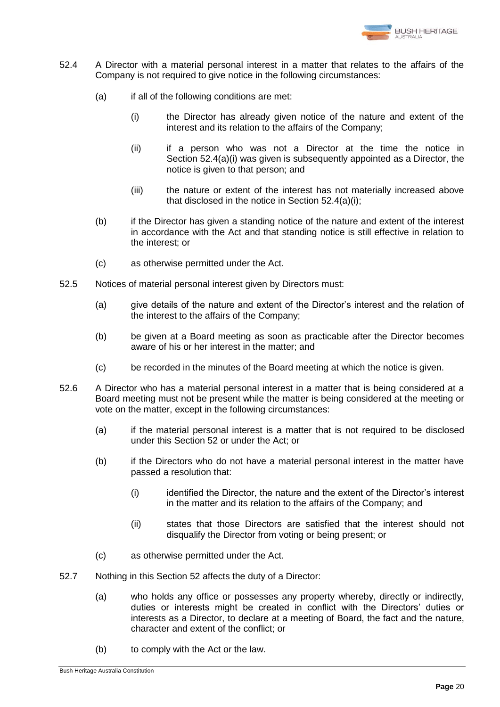

- <span id="page-23-1"></span><span id="page-23-0"></span>52.4 A Director with a material personal interest in a matter that relates to the affairs of the Company is not required to give notice in the following circumstances:
	- (a) if all of the following conditions are met:
		- (i) the Director has already given notice of the nature and extent of the interest and its relation to the affairs of the Company;
		- (ii) if a person who was not a Director at the time the notice in Section [52.4\(a\)\(i\)](#page-23-1) was given is subsequently appointed as a Director, the notice is given to that person; and
		- (iii) the nature or extent of the interest has not materially increased above that disclosed in the notice in Section [52.4\(a\)\(i\);](#page-23-1)
	- (b) if the Director has given a standing notice of the nature and extent of the interest in accordance with the Act and that standing notice is still effective in relation to the interest; or
	- (c) as otherwise permitted under the Act.
- 52.5 Notices of material personal interest given by Directors must:
	- (a) give details of the nature and extent of the Director's interest and the relation of the interest to the affairs of the Company;
	- (b) be given at a Board meeting as soon as practicable after the Director becomes aware of his or her interest in the matter; and
	- (c) be recorded in the minutes of the Board meeting at which the notice is given.
- 52.6 A Director who has a material personal interest in a matter that is being considered at a Board meeting must not be present while the matter is being considered at the meeting or vote on the matter, except in the following circumstances:
	- (a) if the material personal interest is a matter that is not required to be disclosed under this Section [52](#page-22-2) or under the Act; or
	- (b) if the Directors who do not have a material personal interest in the matter have passed a resolution that:
		- (i) identified the Director, the nature and the extent of the Director's interest in the matter and its relation to the affairs of the Company; and
		- (ii) states that those Directors are satisfied that the interest should not disqualify the Director from voting or being present; or
	- (c) as otherwise permitted under the Act.
- 52.7 Nothing in this Section [52](#page-22-2) affects the duty of a Director:
	- (a) who holds any office or possesses any property whereby, directly or indirectly, duties or interests might be created in conflict with the Directors' duties or interests as a Director, to declare at a meeting of Board, the fact and the nature, character and extent of the conflict; or
	- (b) to comply with the Act or the law.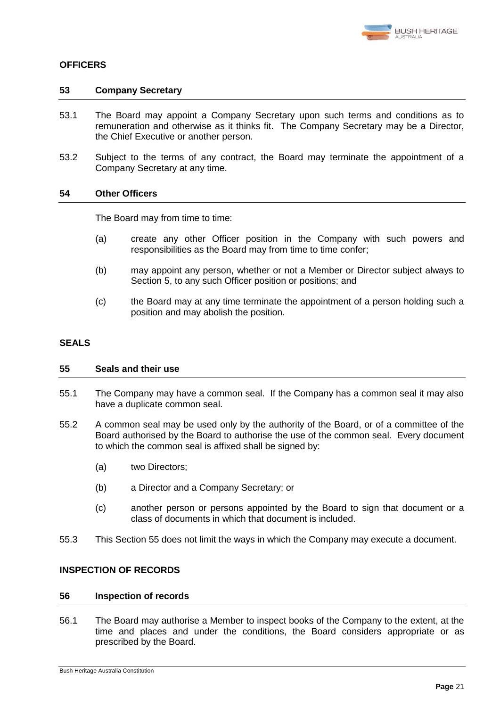

# <span id="page-24-0"></span>**OFFICERS**

#### **53 Company Secretary**

- 53.1 The Board may appoint a Company Secretary upon such terms and conditions as to remuneration and otherwise as it thinks fit. The Company Secretary may be a Director, the Chief Executive or another person.
- 53.2 Subject to the terms of any contract, the Board may terminate the appointment of a Company Secretary at any time.

# **54 Other Officers**

The Board may from time to time:

- (a) create any other Officer position in the Company with such powers and responsibilities as the Board may from time to time confer;
- (b) may appoint any person, whether or not a Member or Director subject always to Section [5,](#page-6-1) to any such Officer position or positions; and
- (c) the Board may at any time terminate the appointment of a person holding such a position and may abolish the position.

#### <span id="page-24-1"></span>**SEALS**

#### **55 Seals and their use**

- 55.1 The Company may have a common seal. If the Company has a common seal it may also have a duplicate common seal.
- 55.2 A common seal may be used only by the authority of the Board, or of a committee of the Board authorised by the Board to authorise the use of the common seal. Every document to which the common seal is affixed shall be signed by:
	- (a) two Directors;
	- (b) a Director and a Company Secretary; or
	- (c) another person or persons appointed by the Board to sign that document or a class of documents in which that document is included.
- 55.3 This Section [55](#page-24-1) does not limit the ways in which the Company may execute a document.

# **INSPECTION OF RECORDS**

#### **56 Inspection of records**

<span id="page-24-2"></span>56.1 The Board may authorise a Member to inspect books of the Company to the extent, at the time and places and under the conditions, the Board considers appropriate or as prescribed by the Board.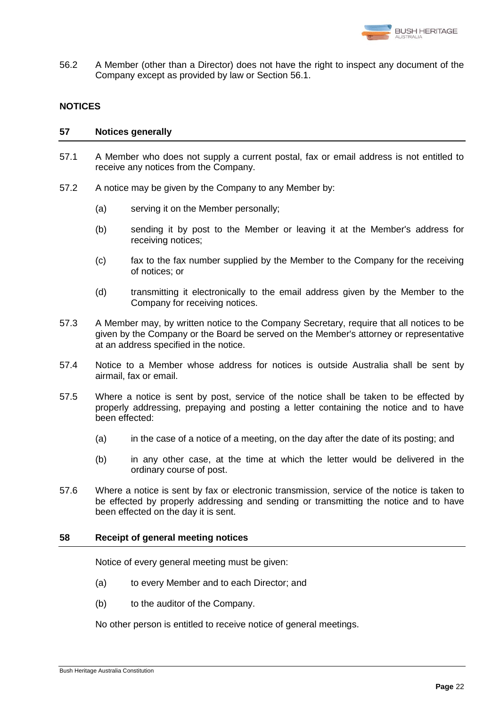

56.2 A Member (other than a Director) does not have the right to inspect any document of the Company except as provided by law or Section [56.1.](#page-24-2)

# **NOTICES**

# **57 Notices generally**

- 57.1 A Member who does not supply a current postal, fax or email address is not entitled to receive any notices from the Company.
- 57.2 A notice may be given by the Company to any Member by:
	- (a) serving it on the Member personally;
	- (b) sending it by post to the Member or leaving it at the Member's address for receiving notices;
	- (c) fax to the fax number supplied by the Member to the Company for the receiving of notices; or
	- (d) transmitting it electronically to the email address given by the Member to the Company for receiving notices.
- 57.3 A Member may, by written notice to the Company Secretary, require that all notices to be given by the Company or the Board be served on the Member's attorney or representative at an address specified in the notice.
- 57.4 Notice to a Member whose address for notices is outside Australia shall be sent by airmail, fax or email.
- 57.5 Where a notice is sent by post, service of the notice shall be taken to be effected by properly addressing, prepaying and posting a letter containing the notice and to have been effected:
	- (a) in the case of a notice of a meeting, on the day after the date of its posting; and
	- (b) in any other case, at the time at which the letter would be delivered in the ordinary course of post.
- 57.6 Where a notice is sent by fax or electronic transmission, service of the notice is taken to be effected by properly addressing and sending or transmitting the notice and to have been effected on the day it is sent.

# **58 Receipt of general meeting notices**

Notice of every general meeting must be given:

- (a) to every Member and to each Director; and
- (b) to the auditor of the Company.

No other person is entitled to receive notice of general meetings.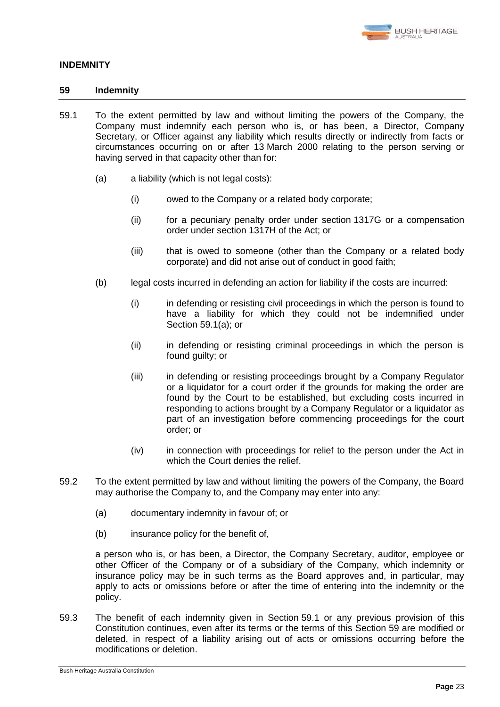

# <span id="page-26-0"></span>**INDEMNITY**

# **59 Indemnity**

- <span id="page-26-2"></span><span id="page-26-1"></span>59.1 To the extent permitted by law and without limiting the powers of the Company, the Company must indemnify each person who is, or has been, a Director, Company Secretary, or Officer against any liability which results directly or indirectly from facts or circumstances occurring on or after 13 March 2000 relating to the person serving or having served in that capacity other than for:
	- (a) a liability (which is not legal costs):
		- (i) owed to the Company or a related body corporate;
		- (ii) for a pecuniary penalty order under section 1317G or a compensation order under section 1317H of the Act; or
		- (iii) that is owed to someone (other than the Company or a related body corporate) and did not arise out of conduct in good faith;
	- (b) legal costs incurred in defending an action for liability if the costs are incurred:
		- (i) in defending or resisting civil proceedings in which the person is found to have a liability for which they could not be indemnified under Section [59.1\(a\);](#page-26-1) or
		- (ii) in defending or resisting criminal proceedings in which the person is found guilty; or
		- (iii) in defending or resisting proceedings brought by a Company Regulator or a liquidator for a court order if the grounds for making the order are found by the Court to be established, but excluding costs incurred in responding to actions brought by a Company Regulator or a liquidator as part of an investigation before commencing proceedings for the court order; or
		- (iv) in connection with proceedings for relief to the person under the Act in which the Court denies the relief.
- 59.2 To the extent permitted by law and without limiting the powers of the Company, the Board may authorise the Company to, and the Company may enter into any:
	- (a) documentary indemnity in favour of; or
	- (b) insurance policy for the benefit of,

a person who is, or has been, a Director, the Company Secretary, auditor, employee or other Officer of the Company or of a subsidiary of the Company, which indemnity or insurance policy may be in such terms as the Board approves and, in particular, may apply to acts or omissions before or after the time of entering into the indemnity or the policy.

59.3 The benefit of each indemnity given in Section [59.1](#page-26-2) or any previous provision of this Constitution continues, even after its terms or the terms of this Section [59](#page-26-0) are modified or deleted, in respect of a liability arising out of acts or omissions occurring before the modifications or deletion.

Bush Heritage Australia Constitution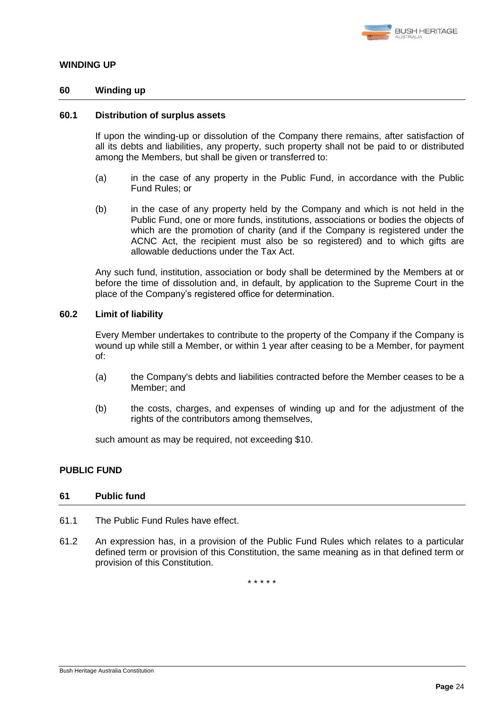

# **WINDING UP**

# **60 Winding up**

#### **60.1 Distribution of surplus assets**

If upon the winding-up or dissolution of the Company there remains, after satisfaction of all its debts and liabilities, any property, such property shall not be paid to or distributed among the Members, but shall be given or transferred to:

- (a) in the case of any property in the Public Fund, in accordance with the Public Fund Rules; or
- (b) in the case of any property held by the Company and which is not held in the Public Fund, one or more funds, institutions, associations or bodies the objects of which are the promotion of charity (and if the Company is registered under the ACNC Act, the recipient must also be so registered) and to which gifts are allowable deductions under the Tax Act.

Any such fund, institution, association or body shall be determined by the Members at or before the time of dissolution and, in default, by application to the Supreme Court in the place of the Company's registered office for determination.

# <span id="page-27-0"></span>**60.2 Limit of liability**

Every Member undertakes to contribute to the property of the Company if the Company is wound up while still a Member, or within 1 year after ceasing to be a Member, for payment of:

- (a) the Company's debts and liabilities contracted before the Member ceases to be a Member; and
- (b) the costs, charges, and expenses of winding up and for the adjustment of the rights of the contributors among themselves,

such amount as may be required, not exceeding \$10.

# **PUBLIC FUND**

#### **61 Public fund**

- 61.1 The Public Fund Rules have effect.
- 61.2 An expression has, in a provision of the Public Fund Rules which relates to a particular defined term or provision of this Constitution, the same meaning as in that defined term or provision of this Constitution.

\* \* \* \* \*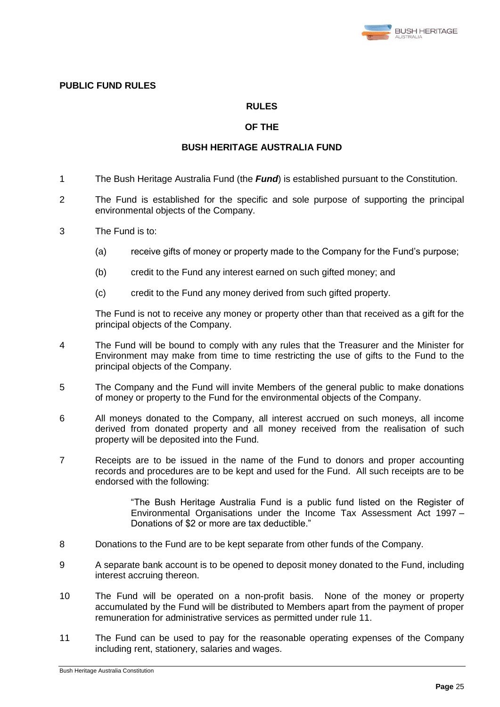

# **PUBLIC FUND RULES**

# **RULES**

# **OF THE**

#### **BUSH HERITAGE AUSTRALIA FUND**

- 1 The Bush Heritage Australia Fund (the *Fund*) is established pursuant to the Constitution.
- 2 The Fund is established for the specific and sole purpose of supporting the principal environmental objects of the Company.
- 3 The Fund is to:
	- (a) receive gifts of money or property made to the Company for the Fund's purpose;
	- (b) credit to the Fund any interest earned on such gifted money; and
	- (c) credit to the Fund any money derived from such gifted property.

The Fund is not to receive any money or property other than that received as a gift for the principal objects of the Company.

- 4 The Fund will be bound to comply with any rules that the Treasurer and the Minister for Environment may make from time to time restricting the use of gifts to the Fund to the principal objects of the Company.
- 5 The Company and the Fund will invite Members of the general public to make donations of money or property to the Fund for the environmental objects of the Company.
- 6 All moneys donated to the Company, all interest accrued on such moneys, all income derived from donated property and all money received from the realisation of such property will be deposited into the Fund.
- 7 Receipts are to be issued in the name of the Fund to donors and proper accounting records and procedures are to be kept and used for the Fund. All such receipts are to be endorsed with the following:

"The Bush Heritage Australia Fund is a public fund listed on the Register of Environmental Organisations under the Income Tax Assessment Act 1997 – Donations of \$2 or more are tax deductible."

- 8 Donations to the Fund are to be kept separate from other funds of the Company.
- 9 A separate bank account is to be opened to deposit money donated to the Fund, including interest accruing thereon.
- 10 The Fund will be operated on a non-profit basis. None of the money or property accumulated by the Fund will be distributed to Members apart from the payment of proper remuneration for administrative services as permitted under rule [11.](#page-28-0)
- <span id="page-28-0"></span>11 The Fund can be used to pay for the reasonable operating expenses of the Company including rent, stationery, salaries and wages.